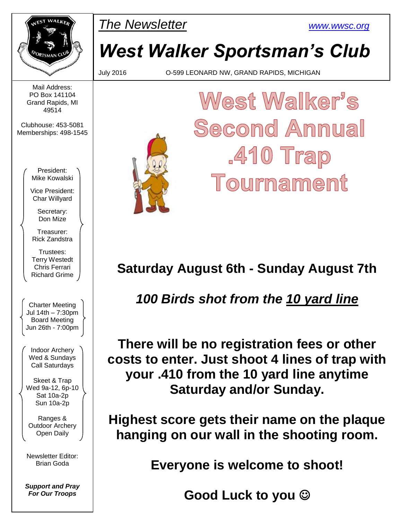

Mail Address: PO Box 141104 Grand Rapids, MI 49514

Clubhouse: 453-5081 Memberships: 498-1545

PMar *The Newsletter [www.wwsc.org](http://www.wwsc.org/)*

## *West Walker Sportsman's Club*

July 2016 O-599 LEONARD NW, GRAND RAPIDS, MICHIGAN

# West Walker's Second Annual  $.410$  Trap Tournament

### **Saturday August 6th - Sunday August 7th**

### *100 Birds shot from the 10 yard line*

**There will be no registration fees or other costs to enter. Just shoot 4 lines of trap with your .410 from the 10 yard line anytime Saturday and/or Sunday.** 

**Highest score gets their name on the plaque hanging on our wall in the shooting room.**

**Everyone is welcome to shoot!**

**Good Luck to you** 

President: Mike Kowalski

Vice President: Char Willyard

Secretary: Don Mize

Treasurer: Rick Zandstra

Trustees: Terry Westedt Chris Ferrari Richard Grime

Charter Meeting Jul 14th – 7:30pm Board Meeting Jun 26th - 7:00pm

Indoor Archery Wed & Sundays Call Saturdays

Skeet & Trap Wed 9a-12, 6p-10 Sat 10a-2p Sun 10a-2p

Ranges & Outdoor Archery Open Daily

Newsletter Editor: Brian Goda

*Support and Pray For Our Troops*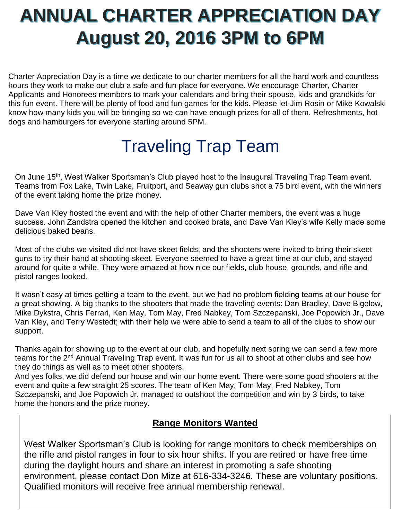# **ANNUAL CHARTER APPRECIATION DAY August 20, 2016 3PM to 6PM**

Charter Appreciation Day is a time we dedicate to our charter members for all the hard work and countless hours they work to make our club a safe and fun place for everyone. We encourage Charter, Charter Applicants and Honorees members to mark your calendars and bring their spouse, kids and grandkids for this fun event. There will be plenty of food and fun games for the kids. Please let Jim Rosin or Mike Kowalski know how many kids you will be bringing so we can have enough prizes for all of them. Refreshments, hot dogs and hamburgers for everyone starting around 5PM.

## Traveling Trap Team

On June 15th, West Walker Sportsman's Club played host to the Inaugural Traveling Trap Team event. Teams from Fox Lake, Twin Lake, Fruitport, and Seaway gun clubs shot a 75 bird event, with the winners of the event taking home the prize money.

Dave Van Kley hosted the event and with the help of other Charter members, the event was a huge success. John Zandstra opened the kitchen and cooked brats, and Dave Van Kley's wife Kelly made some delicious baked beans.

Most of the clubs we visited did not have skeet fields, and the shooters were invited to bring their skeet guns to try their hand at shooting skeet. Everyone seemed to have a great time at our club, and stayed around for quite a while. They were amazed at how nice our fields, club house, grounds, and rifle and pistol ranges looked.

It wasn't easy at times getting a team to the event, but we had no problem fielding teams at our house for a great showing. A big thanks to the shooters that made the traveling events: Dan Bradley, Dave Bigelow, Mike Dykstra, Chris Ferrari, Ken May, Tom May, Fred Nabkey, Tom Szczepanski, Joe Popowich Jr., Dave Van Kley, and Terry Westedt; with their help we were able to send a team to all of the clubs to show our support.

Thanks again for showing up to the event at our club, and hopefully next spring we can send a few more teams for the 2<sup>nd</sup> Annual Traveling Trap event. It was fun for us all to shoot at other clubs and see how they do things as well as to meet other shooters.

And yes folks, we did defend our house and win our home event. There were some good shooters at the event and quite a few straight 25 scores. The team of Ken May, Tom May, Fred Nabkey, Tom Szczepanski, and Joe Popowich Jr. managed to outshoot the competition and win by 3 birds, to take home the honors and the prize money.

#### **Range Monitors Wanted**

West Walker Sportsman's Club is looking for range monitors to check memberships on the rifle and pistol ranges in four to six hour shifts. If you are retired or have free time during the daylight hours and share an interest in promoting a safe shooting environment, please contact Don Mize at 616-334-3246. These are voluntary positions. Qualified monitors will receive free annual membership renewal.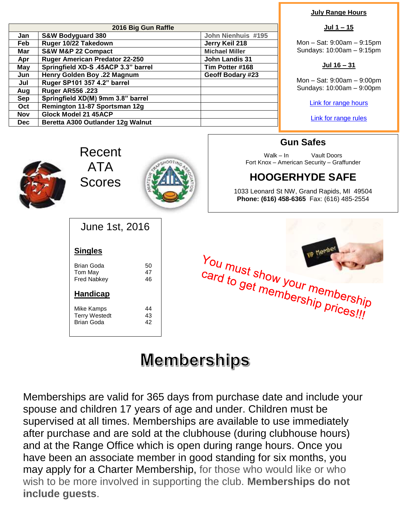| 2016 Big Gun Raffle |                                                                |                    |  |  |  |  |
|---------------------|----------------------------------------------------------------|--------------------|--|--|--|--|
| Jan                 | <b>S&amp;W Bodyguard 380</b>                                   | John Nienhuis #195 |  |  |  |  |
| Feb                 | Ruger 10/22 Takedown                                           | Jerry Keil 218     |  |  |  |  |
| Mar                 | S&W M&P 22 Compact<br><b>Michael Miller</b>                    |                    |  |  |  |  |
| Apr                 | <b>Ruger American Predator 22-250</b><br><b>John Landis 31</b> |                    |  |  |  |  |
| May                 | Springfield XD-S .45ACP 3.3" barrel<br>Tim Potter #168         |                    |  |  |  |  |
| Jun                 | Henry Golden Boy .22 Magnum                                    | Geoff Bodary #23   |  |  |  |  |
| Jul                 | Ruger SP101 357 4.2" barrel                                    |                    |  |  |  |  |
| Aug                 | <b>Ruger AR556.223</b>                                         |                    |  |  |  |  |
| <b>Sep</b>          | Springfield XD(M) 9mm 3.8" barrel                              |                    |  |  |  |  |
| Oct                 | Remington 11-87 Sportsman 12g                                  |                    |  |  |  |  |
| <b>Nov</b>          | <b>Glock Model 21 45ACP</b>                                    |                    |  |  |  |  |
| <b>Dec</b>          | Beretta A300 Outlander 12g Walnut                              |                    |  |  |  |  |

#### **July Range Hours**

#### **Jul 1 – 15**

Mon – Sat: 9:00am – 9:15pm Sundays: 10:00am – 9:15pm

#### **Jul 16 – 31**

Mon – Sat: 9:00am – 9:00pm Sundays: 10:00am – 9:00pm

[Link for range hours](http://www.wwsc.org/range-hours.shtml)

[Link for range rules](http://www.wwsc.org/img/ranges/RangeRules.pdf)



Recent ATA Scores



**Gun Safes**

Walk – In Vault Doors Fort Knox – American Security – Graffunder

### **HOOGERHYDE SAFE**

1033 Leonard St NW, Grand Rapids, MI 49504 **Phone: (616) 458-6365** Fax: (616) 485-2554

| June 1st, 2016                                          |                |  |  |  |  |  |  |
|---------------------------------------------------------|----------------|--|--|--|--|--|--|
| <b>Singles</b>                                          |                |  |  |  |  |  |  |
| Brian Goda<br>Tom May<br>Fred Nabkev                    | 50<br>47<br>46 |  |  |  |  |  |  |
| <b>Handicap</b>                                         |                |  |  |  |  |  |  |
| Mike Kamps<br><b>Terry Westedt</b><br><b>Brian Goda</b> | 44<br>43<br>42 |  |  |  |  |  |  |



## **Memberships**

Memberships are valid for 365 days from purchase date and include your spouse and children 17 years of age and under. Children must be supervised at all times. Memberships are available to use immediately after purchase and are sold at the clubhouse (during clubhouse hours) and at the Range Office which is open during range hours. Once you have been an associate member in good standing for six months, you may apply for a Charter Membership, for those who would like or who wish to be more involved in supporting the club. **Memberships do not include guests**.